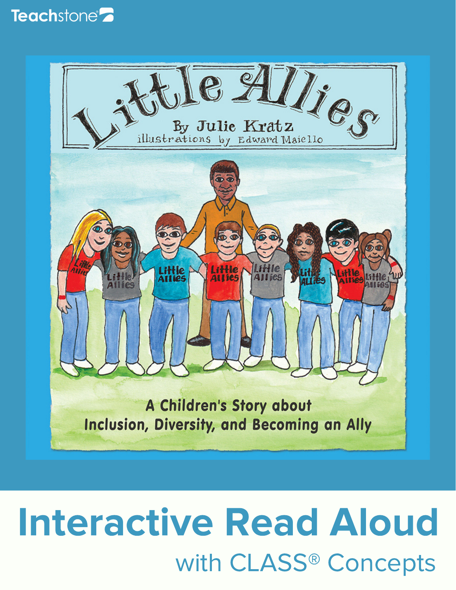



# Interactive Read Aloud with CLASS® Concepts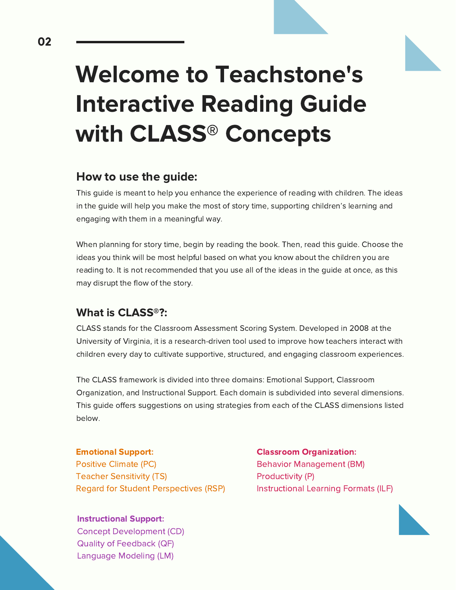

## Welcome to Teachstone's Interactive Reading Guide with CLASS® Concepts

#### How to use the guide:

This guide is meant to help you enhance the experience of reading with children. The ideas in the guide will help you make the most of story time, supporting children's learning and engaging with them in a meaningful way.

When planning for story time, begin by reading the book. Then, read this guide. Choose the ideas you think will be most helpful based on what you know about the children you are reading to. It is not recommended that you use all of the ideas in the guide at once, as this may disrupt the flow of the story.

#### What is CLASS®?:

CLASS stands for the Classroom Assessment Scoring System. Developed in 2008 at the University of Virginia, it is a research-driven tool used to improve how teachers interact with children every day to cultivate supportive, structured, and engaging classroom experiences.

The CLASS framework is divided into three domains: Emotional Support, Classroom Organization, and Instructional Support. Each domain is subdivided into several dimensions. This guide offers suggestions on using strategies from each of the CLASS dimensions listed below.

Emotional Support: Positive Climate (PC) Teacher Sensitivity (TS) Regard for Student Perspectives (RSP)

Instructional Support:

Concept Development (CD) Quality of Feedback (QF) Language Modeling (LM)

Classroom Organization: Behavior Management (BM) Productivity (P) Instructional Learning Formats (ILF)

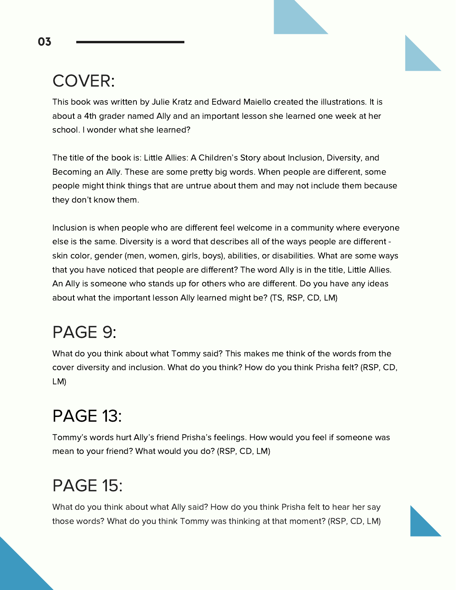#### COVER:

This book was written by Julie Kratz and Edward Maiello created the illustrations. It is about a 4th grader named Ally and an important lesson she learned one week at her school. I wonder what she learned?

The title of the book is: Little Allies: A Children's Story about Inclusion, Diversity, and Becoming an Ally. These are some pretty big words. When people are different, some people might think things that are untrue about them and may not include them because they don't know them.

Inclusion is when people who are different feel welcome in a community where everyone else is the same. Diversity is a word that describes all of the ways people are different skin color, gender (men, women, girls, boys), abilities, or disabilities. What are some ways that you have noticed that people are different? The word Ally is in the title, Little Allies. An Ally is someone who stands up for others who are different. Do you have any ideas about what the important lesson Ally learned might be? (TS, RSP, CD, LM)

#### PAGE 9:

What do you think about what Tommy said? This makes me think of the words from the cover diversity and inclusion. What do you think? How do you think Prisha felt? (RSP, CD, LM)

#### PAGE 13:

Tommy's words hurt Ally's friend Prisha's feelings. How would you feel if someone was mean to your friend? What would you do? (RSP, CD, LM)

#### PAGE 15:

What do you think about what Ally said? How do you think Prisha felt to hear her say those words? What do you think Tommy was thinking at that moment? (RSP, CD, LM)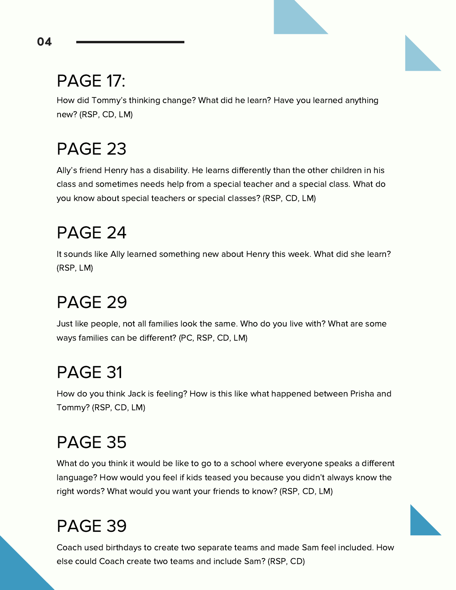#### PAGE 17:

How did Tommy's thinking change? What did he learn? Have you learned anything new? (RSP, CD, LM)

#### PAGE 23

Ally's friend Henry has a disability. He learns differently than the other children in his class and sometimes needs help from a special teacher and a special class. What do you know about special teachers or special classes? (RSP, CD, LM)

#### PAGE 24

It sounds like Ally learned something new about Henry this week. What did she learn? (RSP, LM)

#### PAGE 29

Just like people, not all families look the same. Who do you live with? What are some ways families can be different? (PC, RSP, CD, LM)

#### PAGE 31

How do you think Jack is feeling? How is this like what happened between Prisha and Tommy? (RSP, CD, LM)

#### PAGE 35

What do you think it would be like to go to a school where everyone speaks a different language? How would you feel if kids teased you because you didn't always know the right words? What would you want your friends to know? (RSP, CD, LM)

#### PAGE 39

Coach used birthdays to create two separate teams and made Sam feel included. How else could Coach create two teams and include Sam? (RSP, CD)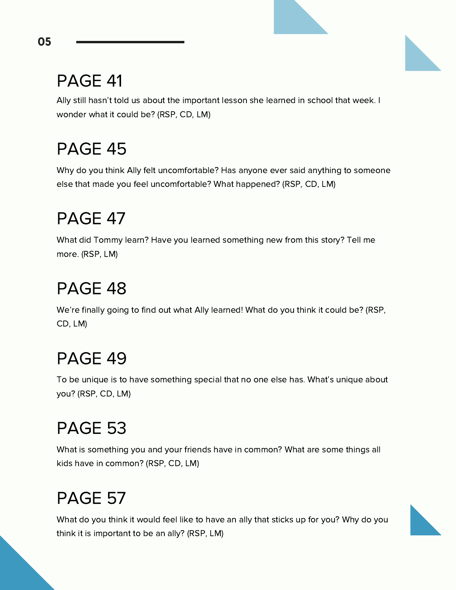#### PAGE 41

Ally still hasn't told us about the important lesson she learned in school that week. I wonder what it could be? (RSP, CD, LM)

#### PAGE 45

Why do you think Ally felt uncomfortable? Has anyone ever said anything to someone else that made you feel uncomfortable? What happened? (RSP, CD, LM)

#### PAGE 47

What did Tommy learn? Have you learned something new from this story? Tell me more. (RSP, LM)

#### PAGE 48

We're finally going to find out what Ally learned! What do you think it could be? (RSP, CD, LM)

#### PAGE 49

To be unique is to have something special that no one else has. What's unique about you? (RSP, CD, LM)

### PAGE 53

What is something you and your friends have in common? What are some things all kids have in common? (RSP, CD, LM)

### PAGE 57

What do you think it would feel like to have an ally that sticks up for you? Why do you think it is important to be an ally? (RSP, LM)